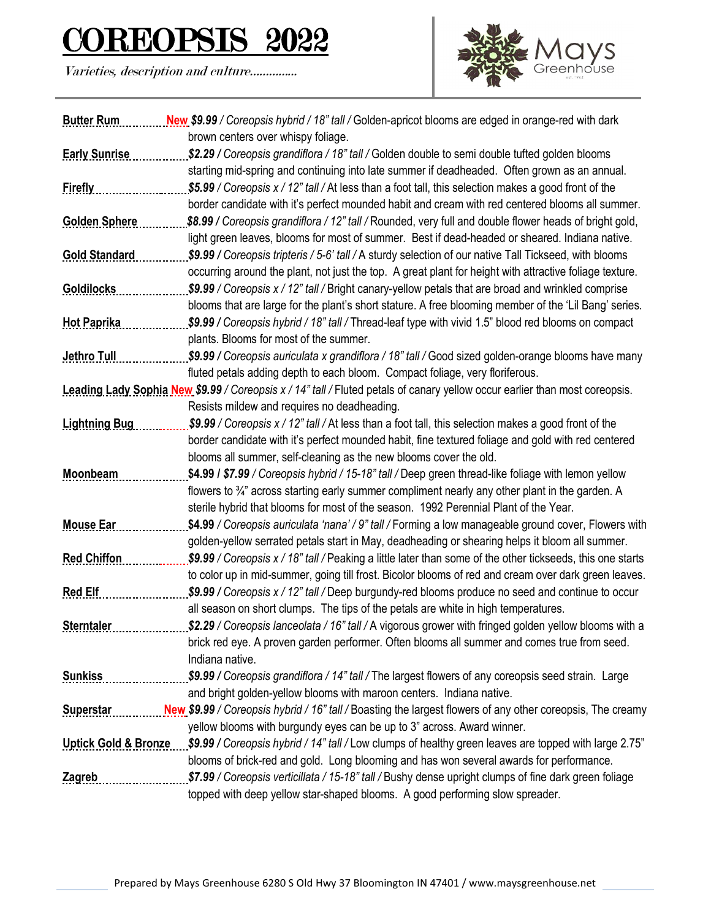## COREOPSIS 2022

Varieties, description and culture…………...



| <b>Butter Rum</b>    | New \$9.99 / Coreopsis hybrid / 18" tall / Golden-apricot blooms are edged in orange-red with dark                          |
|----------------------|-----------------------------------------------------------------------------------------------------------------------------|
|                      | brown centers over whispy foliage.                                                                                          |
| <b>Early Sunrise</b> | \$2.29 / Coreopsis grandiflora / 18" tall / Golden double to semi double tufted golden blooms                               |
|                      | starting mid-spring and continuing into late summer if deadheaded. Often grown as an annual.                                |
| <b>Firefly</b>       | \$5.99 / Coreopsis x / 12" tall / At less than a foot tall, this selection makes a good front of the                        |
|                      | border candidate with it's perfect mounded habit and cream with red centered blooms all summer.                             |
| <b>Golden Sphere</b> | \$8.99 / Coreopsis grandiflora / 12" tall / Rounded, very full and double flower heads of bright gold,                      |
|                      | light green leaves, blooms for most of summer. Best if dead-headed or sheared. Indiana native.                              |
| <b>Gold Standard</b> | \$9.99 / Coreopsis tripteris / 5-6' tall / A sturdy selection of our native Tall Tickseed, with blooms                      |
|                      | occurring around the plant, not just the top. A great plant for height with attractive foliage texture.                     |
| <b>Goldilocks</b>    | \$9.99 / Coreopsis x / 12" tall / Bright canary-yellow petals that are broad and wrinkled comprise                          |
|                      | blooms that are large for the plant's short stature. A free blooming member of the 'Lil Bang' series.                       |
| <b>Hot Paprika</b>   | \$9.99 / Coreopsis hybrid / 18" tall / Thread-leaf type with vivid 1.5" blood red blooms on compact                         |
|                      | plants. Blooms for most of the summer.                                                                                      |
| <b>Jethro Tull</b>   | \$9.99 / Coreopsis auriculata x grandiflora / 18" tall / Good sized golden-orange blooms have many                          |
|                      | fluted petals adding depth to each bloom. Compact foliage, very floriferous.                                                |
|                      | Leading Lady Sophia New \$9.99 / Coreopsis x / 14" tall / Fluted petals of canary yellow occur earlier than most coreopsis. |
|                      | Resists mildew and requires no deadheading.                                                                                 |
| <b>Lightning Bug</b> | \$9.99 / Coreopsis x / 12" tall / At less than a foot tall, this selection makes a good front of the                        |
|                      | border candidate with it's perfect mounded habit, fine textured foliage and gold with red centered                          |
|                      | blooms all summer, self-cleaning as the new blooms cover the old.                                                           |
| Moonbeam             | \$4.99 / \$7.99 / Coreopsis hybrid / 15-18" tall / Deep green thread-like foliage with lemon yellow                         |
|                      | flowers to $\frac{3}{4}$ " across starting early summer compliment nearly any other plant in the garden. A                  |
|                      | sterile hybrid that blooms for most of the season. 1992 Perennial Plant of the Year.                                        |
| <b>Mouse Ear</b>     | \$4.99 / Coreopsis auriculata 'nana' / 9" tall / Forming a low manageable ground cover, Flowers with                        |
|                      | golden-yellow serrated petals start in May, deadheading or shearing helps it bloom all summer.                              |
| <b>Red Chiffon</b>   | \$9.99 / Coreopsis x / 18" tall / Peaking a little later than some of the other tickseeds, this one starts                  |
|                      | to color up in mid-summer, going till frost. Bicolor blooms of red and cream over dark green leaves.                        |
| <b>Red Elf</b>       | \$9.99 / Coreopsis x / 12" tall / Deep burgundy-red blooms produce no seed and continue to occur                            |
|                      | all season on short clumps. The tips of the petals are white in high temperatures.                                          |
| <b>Sterntaler</b>    | \$2.29 / Coreopsis lanceolata / 16" tall / A vigorous grower with fringed golden yellow blooms with a                       |
|                      | brick red eye. A proven garden performer. Often blooms all summer and comes true from seed.                                 |
|                      | Indiana native.                                                                                                             |
| <b>Sunkiss</b>       | \$9.99 / Coreopsis grandiflora / 14" tall / The largest flowers of any coreopsis seed strain. Large                         |
|                      | and bright golden-yellow blooms with maroon centers. Indiana native.                                                        |
| <b>Superstar</b>     | New \$9.99 / Coreopsis hybrid / 16" tall / Boasting the largest flowers of any other coreopsis, The creamy                  |
|                      | yellow blooms with burgundy eyes can be up to 3" across. Award winner.                                                      |
|                      | Uptick Gold & Bronze 59.99 / Coreopsis hybrid / 14" tall / Low clumps of healthy green leaves are topped with large 2.75"   |
|                      |                                                                                                                             |
|                      | blooms of brick-red and gold. Long blooming and has won several awards for performance.                                     |
| <b>Zagreb</b>        | \$7.99 / Coreopsis verticillata / 15-18" tall / Bushy dense upright clumps of fine dark green foliage                       |
|                      | topped with deep yellow star-shaped blooms. A good performing slow spreader.                                                |